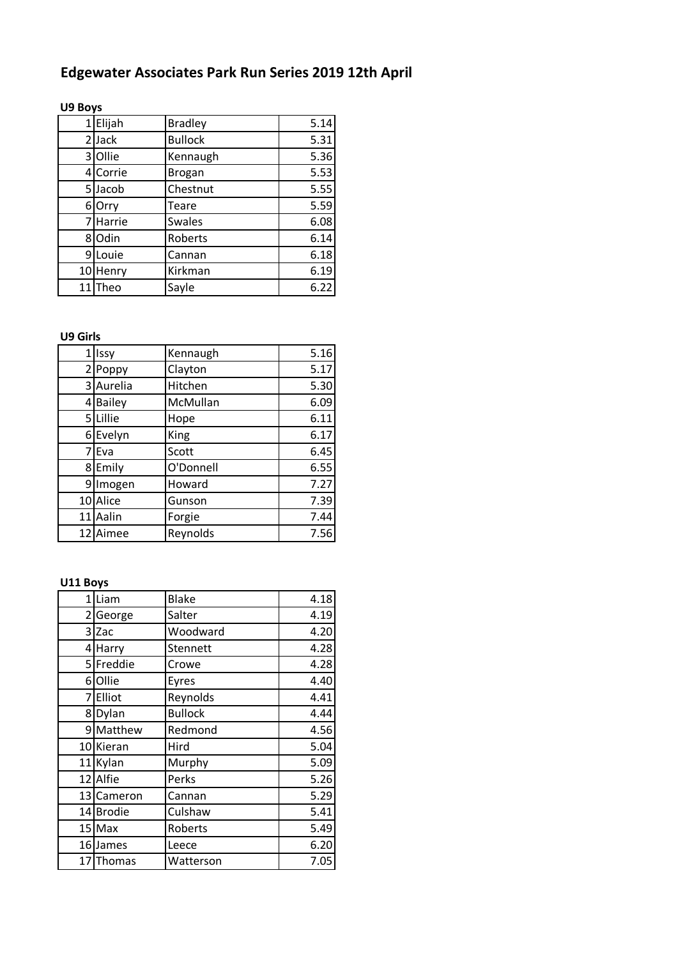# **Edgewater Associates Park Run Series 2019 12th April**

### **U9 Boys**

| $\mathbf{1}$ | Elijah   | <b>Bradley</b> | 5.14 |
|--------------|----------|----------------|------|
| 2            | Jack     | <b>Bullock</b> | 5.31 |
|              | 3 Ollie  | Kennaugh       | 5.36 |
|              | 4 Corrie | <b>Brogan</b>  | 5.53 |
|              | 5 Jacob  | Chestnut       | 5.55 |
|              | 6 Orry   | Teare          | 5.59 |
| 7            | Harrie   | <b>Swales</b>  | 6.08 |
|              | 8 Odin   | Roberts        | 6.14 |
| 9            | Louie    | Cannan         | 6.18 |
|              | 10 Henry | Kirkman        | 6.19 |
| 11           | Theo     | Sayle          | 6.22 |

### **U9 Girls**

| 1 Issy    | Kennaugh  | 5.16 |
|-----------|-----------|------|
| 2 Poppy   | Clayton   | 5.17 |
| 3 Aurelia | Hitchen   | 5.30 |
| 4 Bailey  | McMullan  | 6.09 |
| 5 Lillie  | Hope      | 6.11 |
| 6 Evelyn  | King      | 6.17 |
| 7 Eva     | Scott     | 6.45 |
| 8 Emily   | O'Donnell | 6.55 |
| 9 Imogen  | Howard    | 7.27 |
| 10 Alice  | Gunson    | 7.39 |
| 11 Aalin  | Forgie    | 7.44 |
| 12 Aimee  | Reynolds  | 7.56 |

# **U11 Boys**

|    | 1 Liam     | <b>Blake</b>    | 4.18 |
|----|------------|-----------------|------|
|    | 2 George   | Salter          | 4.19 |
|    | $3$ Zac    | Woodward        | 4.20 |
|    | 4 Harry    | <b>Stennett</b> | 4.28 |
|    | 5 Freddie  | Crowe           | 4.28 |
|    | 6 Ollie    | Eyres           | 4.40 |
|    | 7 Elliot   | Reynolds        | 4.41 |
|    | 8 Dylan    | <b>Bullock</b>  | 4.44 |
|    | 9 Matthew  | Redmond         | 4.56 |
|    | 10 Kieran  | Hird            | 5.04 |
| 11 | Kylan      | Murphy          | 5.09 |
|    | 12 Alfie   | Perks           | 5.26 |
|    | 13 Cameron | Cannan          | 5.29 |
|    | 14 Brodie  | Culshaw         | 5.41 |
|    | 15 Max     | Roberts         | 5.49 |
|    | 16 James   | Leece           | 6.20 |
|    | 17 Thomas  | Watterson       | 7.05 |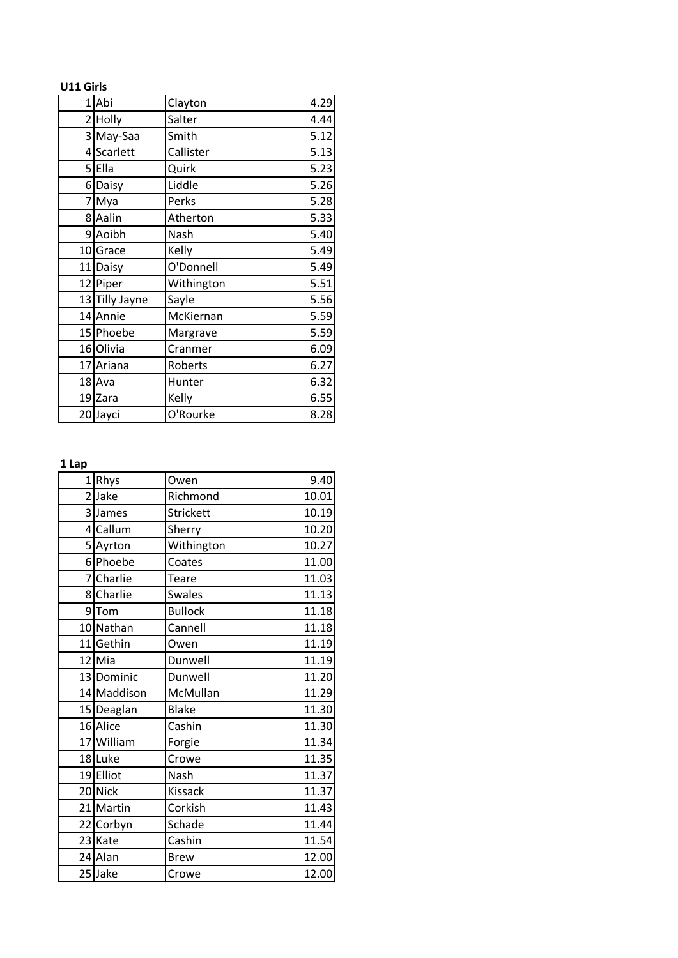| U11 Girls |                |            |      |
|-----------|----------------|------------|------|
|           | 1Abi           | Clayton    | 4.29 |
|           | 2 Holly        | Salter     | 4.44 |
|           | 3 May-Saa      | Smith      | 5.12 |
|           | 4 Scarlett     | Callister  | 5.13 |
|           | 5Ella          | Quirk      | 5.23 |
|           | 6 Daisy        | Liddle     | 5.26 |
|           | 7 Mya          | Perks      | 5.28 |
|           | 8 Aalin        | Atherton   | 5.33 |
|           | 9 Aoibh        | Nash       | 5.40 |
|           | 10 Grace       | Kelly      | 5.49 |
|           | 11 Daisy       | O'Donnell  | 5.49 |
|           | 12 Piper       | Withington | 5.51 |
|           | 13 Tilly Jayne | Sayle      | 5.56 |
|           | 14 Annie       | McKiernan  | 5.59 |
|           | 15 Phoebe      | Margrave   | 5.59 |
|           | 16 Olivia      | Cranmer    | 6.09 |
|           | 17 Ariana      | Roberts    | 6.27 |
|           | 18 Ava         | Hunter     | 6.32 |
|           | 19 Zara        | Kelly      | 6.55 |
|           | 20 Jayci       | O'Rourke   | 8.28 |

#### **1 Lap**

| 11 | Rhys        | Owen           | 9.40  |
|----|-------------|----------------|-------|
|    | 2Jake       | Richmond       | 10.01 |
|    | 3 James     | Strickett      | 10.19 |
|    | 4 Callum    | Sherry         | 10.20 |
|    | 5 Ayrton    | Withington     | 10.27 |
|    | 6 Phoebe    | Coates         | 11.00 |
|    | 7 Charlie   | Teare          | 11.03 |
|    | 8 Charlie   | <b>Swales</b>  | 11.13 |
|    | 9Tom        | <b>Bullock</b> | 11.18 |
|    | 10 Nathan   | Cannell        | 11.18 |
|    | 11 Gethin   | Owen           | 11.19 |
|    | 12 Mia      | Dunwell        | 11.19 |
|    | 13 Dominic  | Dunwell        | 11.20 |
|    | 14 Maddison | McMullan       | 11.29 |
|    | 15 Deaglan  | <b>Blake</b>   | 11.30 |
|    | 16 Alice    | Cashin         | 11.30 |
|    | 17 William  | Forgie         | 11.34 |
|    | 18 Luke     | Crowe          | 11.35 |
|    | 19 Elliot   | Nash           | 11.37 |
|    | 20 Nick     | Kissack        | 11.37 |
|    | 21 Martin   | Corkish        | 11.43 |
|    | 22 Corbyn   | Schade         | 11.44 |
|    | 23 Kate     | Cashin         | 11.54 |
|    | 24 Alan     | <b>Brew</b>    | 12.00 |
|    | 25 Jake     | Crowe          | 12.00 |
|    |             |                |       |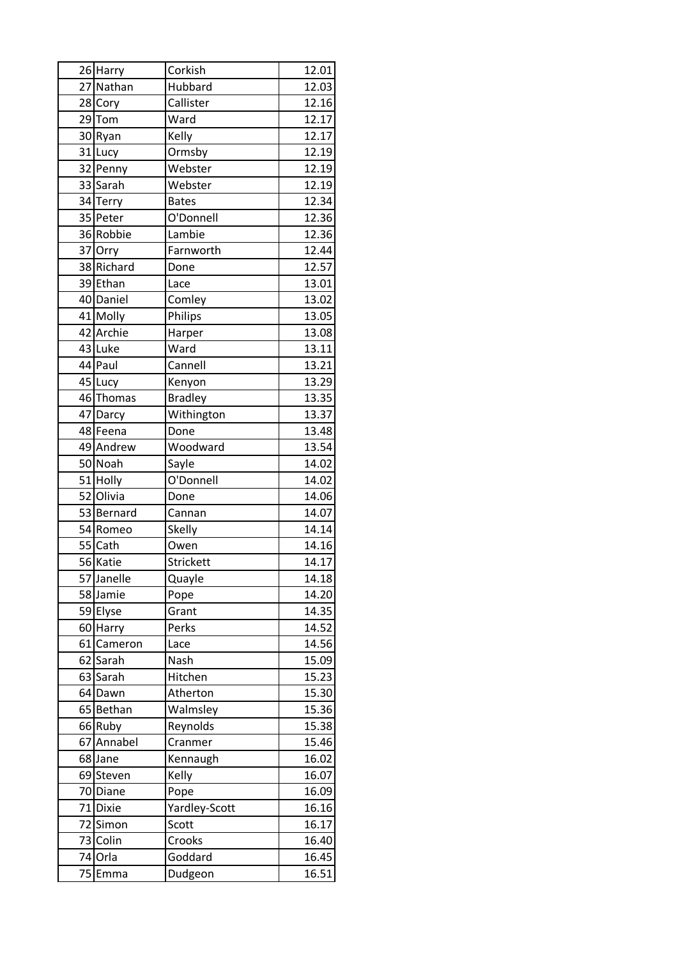| 26 Harry   | Corkish          | 12.01              |
|------------|------------------|--------------------|
| 27 Nathan  | Hubbard          | 12.03              |
| 28 Cory    | Callister        | 12.16              |
| $29$ Tom   | Ward             | 12.17              |
| 30 Ryan    | Kelly            | 12.17              |
| 31 Lucy    | Ormsby           | 12.19              |
| 32 Penny   | Webster          | 12.19              |
| 33 Sarah   | Webster          | 12.19              |
| 34 Terry   | <b>Bates</b>     | 12.34              |
| 35 Peter   | O'Donnell        | 12.36              |
| 36 Robbie  | Lambie           | 12.36              |
| 37 Orry    | Farnworth        | 12.44              |
| 38 Richard | Done             | 12.57              |
| 39 Ethan   | Lace             | 13.01              |
| 40 Daniel  | Comley           | 13.02              |
| 41 Molly   | Philips          | 13.05              |
| 42 Archie  | Harper           | 13.08              |
| 43 Luke    | Ward             | 13.11              |
| 44 Paul    | Cannell          | 13.21              |
| 45 Lucy    | Kenyon           | 13.29              |
| 46 Thomas  | <b>Bradley</b>   | 13.35              |
| 47 Darcy   | Withington       | $13.\overline{37}$ |
| 48 Feena   | Done             | 13.48              |
| 49 Andrew  | Woodward         | 13.54              |
| 50 Noah    | Sayle            | 14.02              |
| 51 Holly   | O'Donnell        | 14.02              |
| 52 Olivia  | Done             | 14.06              |
| 53 Bernard | Cannan           | 14.07              |
| 54 Romeo   | <b>Skelly</b>    | 14.14              |
| 55 Cath    | Owen             | 14.16              |
| 56 Katie   | <b>Strickett</b> | 14.17              |
| 57 Janelle | Quayle           | 14.18              |
| 58 Jamie   | Pope             | 14.20              |
| 59 Elyse   | Grant            | 14.35              |
| 60 Harry   | Perks            | 14.52              |
| 61 Cameron | Lace             | 14.56              |
| 62 Sarah   | Nash             | 15.09              |
| 63 Sarah   | Hitchen          | 15.23              |
| 64 Dawn    | Atherton         | 15.30              |
| 65 Bethan  | Walmsley         | 15.36              |
| 66 Ruby    | Reynolds         | 15.38              |
| 67 Annabel | Cranmer          | 15.46              |
| 68 Jane    | Kennaugh         | 16.02              |
| 69 Steven  | Kelly            | 16.07              |
| 70 Diane   | Pope             | 16.09              |
| 71 Dixie   | Yardley-Scott    | 16.16              |
| 72 Simon   | Scott            | 16.17              |
| 73 Colin   | Crooks           | 16.40              |
| 74 Orla    | Goddard          | 16.45              |
| 75 Emma    | Dudgeon          | 16.51              |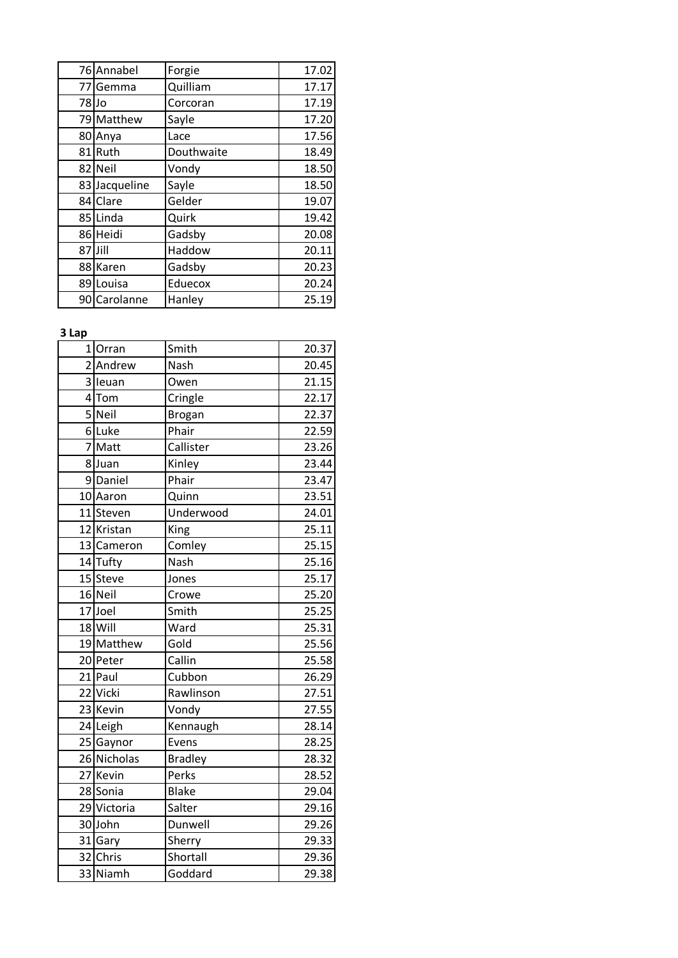| 76 Annabel    | Forgie     | 17.02 |
|---------------|------------|-------|
| 77 Gemma      | Quilliam   | 17.17 |
| 78 Jo         | Corcoran   | 17.19 |
| 79 Matthew    | Sayle      | 17.20 |
| 80 Anya       | Lace       | 17.56 |
| 81 Ruth       | Douthwaite | 18.49 |
| 82 Neil       | Vondy      | 18.50 |
| 83 Jacqueline | Sayle      | 18.50 |
| 84 Clare      | Gelder     | 19.07 |
| 85 Linda      | Quirk      | 19.42 |
| 86 Heidi      | Gadsby     | 20.08 |
| 87 Jill       | Haddow     | 20.11 |
| 88 Karen      | Gadsby     | 20.23 |
| 89 Louisa     | Eduecox    | 20.24 |
| 90 Carolanne  | Hanley     | 25.19 |

# **3 Lap**

|                | 1 Orran     | Smith          | 20.37 |
|----------------|-------------|----------------|-------|
| $\overline{2}$ | Andrew      | Nash           | 20.45 |
|                | 3 leuan     | Owen           | 21.15 |
| $\overline{4}$ | Tom         | Cringle        | 22.17 |
|                | 5 Neil      | <b>Brogan</b>  | 22.37 |
|                | 6Luke       | Phair          | 22.59 |
| $\overline{7}$ | Matt        | Callister      | 23.26 |
|                | 8Juan       | Kinley         | 23.44 |
|                | 9Daniel     | Phair          | 23.47 |
|                | 10 Aaron    | Quinn          | 23.51 |
|                | 11 Steven   | Underwood      | 24.01 |
|                | 12 Kristan  | King           | 25.11 |
|                | 13 Cameron  | Comley         | 25.15 |
|                | 14 Tufty    | Nash           | 25.16 |
|                | 15 Steve    | Jones          | 25.17 |
|                | 16 Neil     | Crowe          | 25.20 |
|                | 17 Joel     | Smith          | 25.25 |
|                | 18 Will     | Ward           | 25.31 |
|                | 19 Matthew  | Gold           | 25.56 |
|                | 20 Peter    | Callin         | 25.58 |
|                | 21 Paul     | Cubbon         | 26.29 |
|                | 22 Vicki    | Rawlinson      | 27.51 |
|                | 23 Kevin    | Vondy          | 27.55 |
|                | 24 Leigh    | Kennaugh       | 28.14 |
|                | 25 Gaynor   | Evens          | 28.25 |
|                | 26 Nicholas | <b>Bradley</b> | 28.32 |
|                | 27 Kevin    | Perks          | 28.52 |
|                | 28 Sonia    | <b>Blake</b>   | 29.04 |
|                | 29 Victoria | Salter         | 29.16 |
|                | 30 John     | Dunwell        | 29.26 |
|                | 31 Gary     | Sherry         | 29.33 |
|                | 32 Chris    | Shortall       | 29.36 |
|                | 33 Niamh    | Goddard        | 29.38 |